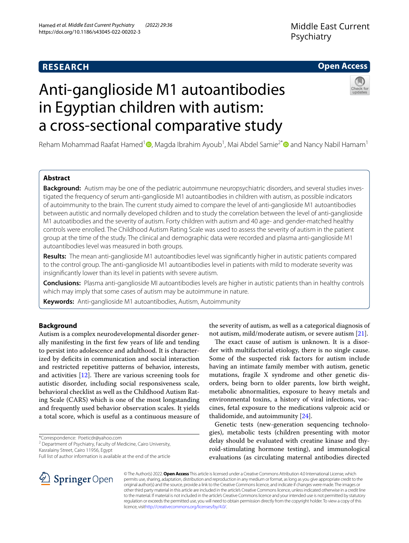# **RESEARCH**

# **Open Access**

# Anti-ganglioside M1 autoantibodies in Egyptian children with autism: a cross-sectional comparative study



Reham Mohammad Raafat Hamed<sup>1</sup> (D)[,](http://orcid.org/0000-0002-5526-2134) Magda Ibrahim Ayoub<sup>1</sup>, Mai Abdel Samie<sup>2[\\*](http://orcid.org/0000-0002-7987-3837)</sup> (D) and Nancy Nabil Hamam<sup>1</sup>

## **Abstract**

**Background:** Autism may be one of the pediatric autoimmune neuropsychiatric disorders, and several studies investigated the frequency of serum anti-ganglioside M1 autoantibodies in children with autism, as possible indicators of autoimmunity to the brain. The current study aimed to compare the level of anti-ganglioside M1 autoantibodies between autistic and normally developed children and to study the correlation between the level of anti-ganglioside M1 autoatibodies and the severity of autism. Forty children with autism and 40 age- and gender-matched healthy controls were enrolled. The Childhood Autism Rating Scale was used to assess the severity of autism in the patient group at the time of the study. The clinical and demographic data were recorded and plasma anti-ganglioside M1 autoantibodies level was measured in both groups.

**Results:** The mean anti-ganglioside M1 autoantibodies level was signifcantly higher in autistic patients compared to the control group. The anti-ganglioside M1 autoantibodies level in patients with mild to moderate severity was insignifcantly lower than its level in patients with severe autism.

**Conclusions:** Plasma anti-ganglioside MI autoantibodies levels are higher in autistic patients than in healthy controls which may imply that some cases of autism may be autoimmune in nature.

**Keywords:** Anti-ganglioside M1 autoantibodies, Autism, Autoimmunity

## **Background**

Autism is a complex neurodevelopmental disorder generally manifesting in the frst few years of life and tending to persist into adolescence and adulthood. It is characterized by deficits in communication and social interaction and restricted repetitive patterns of behavior, interests, and activities  $[12]$ . There are various screening tools for autistic disorder, including social responsiveness scale, behavioral checklist as well as the Childhood Autism Rating Scale (CARS) which is one of the most longstanding and frequently used behavior observation scales. It yields a total score, which is useful as a continuous measure of

\*Correspondence: Poeticdr@yahoo.com

<sup>2</sup> Department of Psychiatry, Faculty of Medicine, Cairo University, Kasralainy Street, Cairo 11956, Egypt

Full list of author information is available at the end of the article



the severity of autism, as well as a categorical diagnosis of not autism, mild/moderate autism, or severe autism [\[21\]](#page-5-1).

The exact cause of autism is unknown. It is a disorder with multifactorial etiology, there is no single cause. Some of the suspected risk factors for autism include having an intimate family member with autism, genetic mutations, fragile X syndrome and other genetic disorders, being born to older parents, low birth weight, metabolic abnormalities, exposure to heavy metals and environmental toxins, a history of viral infections, vaccines, fetal exposure to the medications valproic acid or thalidomide, and autoimmunity  $[24]$  $[24]$ .

Genetic tests (new-generation sequencing technologies), metabolic tests (children presenting with motor delay should be evaluated with creatine kinase and thyroid-stimulating hormone testing), and immunological evaluations (as circulating maternal antibodies directed

© The Author(s) 2022. **Open Access** This article is licensed under a Creative Commons Attribution 4.0 International License, which permits use, sharing, adaptation, distribution and reproduction in any medium or format, as long as you give appropriate credit to the original author(s) and the source, provide a link to the Creative Commons licence, and indicate if changes were made. The images or other third party material in this article are included in the article's Creative Commons licence, unless indicated otherwise in a credit line to the material. If material is not included in the article's Creative Commons licence and your intended use is not permitted by statutory regulation or exceeds the permitted use, you will need to obtain permission directly from the copyright holder. To view a copy of this licence, visi[thttp://creativecommons.org/licenses/by/4.0/](http://creativecommons.org/licenses/by/4.0/).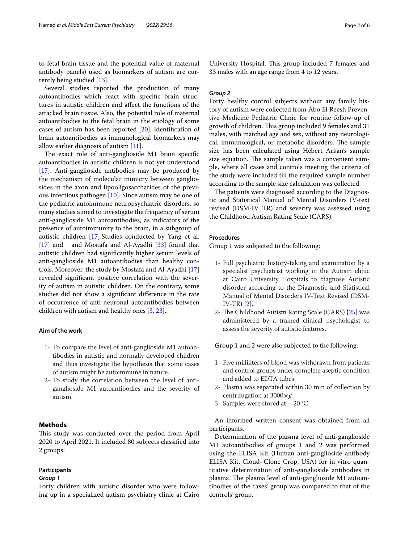to fetal brain tissue and the potential value of maternal antibody panels) used as biomarkers of autism are currently being studied [\[13\]](#page-5-3).

Several studies reported the production of many autoantibodies which react with specifc brain structures in autistic children and afect the functions of the attacked brain tissue. Also, the potential role of maternal autoantibodies to the fetal brain in the etiology of some cases of autism has been reported [[20\]](#page-5-4). Identifcation of brain autoantibodies as immunological biomarkers may allow earlier diagnosis of autism [\[11\]](#page-5-5).

The exact role of anti-ganglioside M1 brain specific autoantibodies in autistic children is not yet understood [[17\]](#page-5-6). Anti-ganglioside antibodies may be produced by the mechanism of molecular mimicry between gangliosides in the axon and lipooligosaccharides of the previous infectious pathogen [\[10](#page-5-7)]. Since autism may be one of the pediatric autoimmune neuropsychiatric disorders, so many studies aimed to investigate the frequency of serum anti-ganglioside M1 autoantibodies, as indicators of the presence of autoimmunity to the brain, in a subgroup of autistic children [[17\]](#page-5-6).Studies conducted by Yang et al. [[17\]](#page-5-6) and and Mostafa and Al-Ayadhi  $[33]$  found that autistic children had signifcantly higher serum levels of anti-ganglioside M1 autoantibodies than healthy controls. Moreover, the study by Mostafa and Al-Ayadhi [[17](#page-5-6)] revealed signifcant positive correlation with the severity of autism in autistic children. On the contrary, some studies did not show a signifcant diference in the rate of occurrence of anti-neuronal autoantibodies between children with autism and healthy ones [[3](#page-4-0), [23\]](#page-5-9).

#### **Aim of the work**

- 1- To compare the level of anti-ganglioside M1 autoantibodies in autistic and normally developed children and thus investigate the hypothesis that some cases of autism might be autoimmune in nature.
- 2- To study the correlation between the level of antiganglioside M1 autoantibodies and the severity of autism.

## **Methods**

This study was conducted over the period from April 2020 to April 2021. It included 80 subjects classifed into 2 groups:

## **Participants**

## *Group 1*

Forty children with autistic disorder who were following up in a specialized autism psychiatry clinic at Cairo University Hospital. This group included 7 females and 33 males with an age range from 4 to 12 years.

## *Group 2*

Forty healthy control subjects without any family history of autism were collected from Abo El Reesh Preventive Medicine Pediatric Clinic for routine follow-up of growth of children. This group included 9 females and 31 males, with matched age and sex, without any neurological, immunological, or metabolic disorders. The sample size has been calculated using Hebert Arkan's sample size equation. The sample taken was a convenient sample, where all cases and controls meeting the criteria of the study were included till the required sample number according to the sample size calculation was collected.

The patients were diagnosed according to the Diagnostic and Statistical Manual of Mental Disorders IV-text revised (DSM-IV\_TR) and severity was assessed using the Childhood Autism Rating Scale (CARS).

## **Procedures**

Group 1 was subjected to the following:

- 1- Full psychiatric history-taking and examination by a specialist psychiatrist working in the Autism clinic at Cairo University Hospitals to diagnose Autistic disorder according to the Diagnostic and Statistical Manual of Mental Disorders IV-Text Revised (DSM-IV-TR) [[2\]](#page-4-1).
- 2- The Childhood Autism Rating Scale (CARS) [\[25\]](#page-5-10) was administered by a trained clinical psychologist to assess the severity of autistic features.

Group 1 and 2 were also subjected to the following:

- 1- Five milliliters of blood was withdrawn from patients and control groups under complete aseptic condition and added to EDTA tubes.
- 2- Plasma was separated within 30 min of collection by centrifugation at 3000×*g*.
- 3- Samples were stored at 20 °C.

An informed written consent was obtained from all participants.

Determination of the plasma level of anti-ganglioside M1 autoantibodies of groups 1 and 2 was performed using the ELISA Kit (Human anti-ganglioside antibody ELISA Kit, Cloud–Clone Crop, USA) for in vitro quantitative determination of anti-ganglioside antibodies in plasma. The plasma level of anti-ganglioside M1 autoantibodies of the cases' group was compared to that of the controls' group.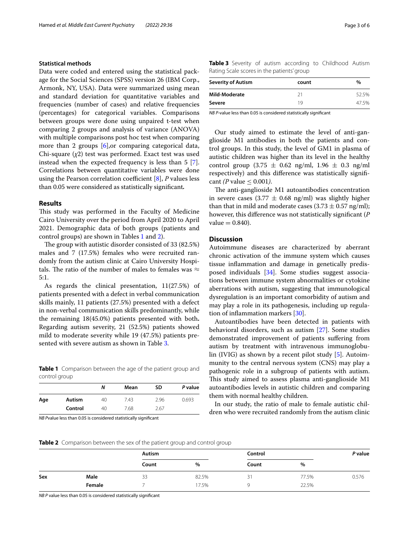## **Statistical methods**

Data were coded and entered using the statistical package for the Social Sciences (SPSS) version 26 (IBM Corp., Armonk, NY, USA). Data were summarized using mean and standard deviation for quantitative variables and frequencies (number of cases) and relative frequencies (percentages) for categorical variables. Comparisons between groups were done using unpaired t-test when comparing 2 groups and analysis of variance (ANOVA) with multiple comparisons post hoc test when comparing more than 2 groups [\[6\]](#page-5-11), or comparing categorical data, Chi-square (*χ*2) test was performed. Exact test was used instead when the expected frequency is less than 5 [\[7](#page-5-12)]. Correlations between quantitative variables were done using the Pearson correlation coefficient  $[8]$  $[8]$ ,  $P$  values less than 0.05 were considered as statistically signifcant*.*

#### **Results**

This study was performed in the Faculty of Medicine Cairo University over the period from April 2020 to April 2021. Demographic data of both groups (patients and control groups) are shown in Tables [1](#page-2-0) and [2\)](#page-2-1).

The group with autistic disorder consisted of 33 (82.5%) males and 7 (17.5%) females who were recruited randomly from the autism clinic at Cairo University Hospitals. The ratio of the number of males to females was  $\approx$ 5:1.

As regards the clinical presentation, 11(27.5%) of patients presented with a defect in verbal communication skills mainly, 11 patients (27.5%) presented with a defect in non-verbal communication skills predominantly, while the remaining 18(45.0%) patients presented with both**.** Regarding autism severity, 21 (52.5%) patients showed mild to moderate severity while 19 (47.5%) patients presented with severe autism as shown in Table [3.](#page-2-2)

<span id="page-2-0"></span>**Table 1** Comparison between the age of the patient group and control group

|     |         | Ν  | Mean | SD   | P value |
|-----|---------|----|------|------|---------|
| Age | Autism  | 40 | 7.43 | 2.96 | 0.693   |
|     | Control | 40 | 7.68 | 2.67 |         |

*NB P*value less than 0.05 is considered statistically significant

<span id="page-2-2"></span>

|  |  |                                            | <b>Table 3</b> Severity of autism according to Childhood Autism |  |
|--|--|--------------------------------------------|-----------------------------------------------------------------|--|
|  |  | Rating Scale scores in the patients' group |                                                                 |  |

| <b>Severity of Autism</b> | count | $\%$  |  |
|---------------------------|-------|-------|--|
| Mild-Moderate             | 21    | 52.5% |  |
| Severe                    | 1 Q   | 47.5% |  |

*NB P-*value less than 0.05 is considered statistically signifcant

Our study aimed to estimate the level of anti-ganglioside M1 antibodies in both the patients and control groups. In this study, the level of GM1 in plasma of autistic children was higher than its level in the healthy control group  $(3.75 \pm 0.62 \text{ ng/ml}, 1.96 \pm 0.3 \text{ ng/ml})$ respectively) and this diference was statistically signifcant *(P* value  $\leq$  0.001*)*.

The anti-ganglioside M1 autoantibodies concentration in severe cases (3.77  $\pm$  0.68 ng/ml) was slightly higher than that in mild and moderate cases  $(3.73 \pm 0.57 \text{ ng/ml})$ ; however, this diference was not statistically signifcant (*P*  $value = 0.840$ .

## **Discussion**

Autoimmune diseases are characterized by aberrant chronic activation of the immune system which causes tissue infammation and damage in genetically predisposed individuals [[34\]](#page-5-14). Some studies suggest associations between immune system abnormalities or cytokine aberrations with autism, suggesting that immunological dysregulation is an important comorbidity of autism and may play a role in its pathogenesis, including up regulation of infammation markers [\[30](#page-5-15)].

Autoantibodies have been detected in patients with behavioral disorders, such as autism [\[27](#page-5-16)]. Some studies demonstrated improvement of patients sufering from autism by treatment with intravenous immunoglobulin (IVIG) as shown by a recent pilot study [\[5](#page-4-2)]. Autoimmunity to the central nervous system (CNS) may play a pathogenic role in a subgroup of patients with autism. This study aimed to assess plasma anti-ganglioside M1 autoantibodies levels in autistic children and comparing them with normal healthy children.

In our study, the ratio of male to female autistic children who were recruited randomly from the autism clinic

<span id="page-2-1"></span>**Table 2** Comparison between the sex of the patient group and control group

|     |        | Autism |       | Control |       | P value |
|-----|--------|--------|-------|---------|-------|---------|
|     |        | Count  | %     | Count   | %     |         |
| Sex | Male   | 33     | 82.5% | 31      | 77.5% | 0.576   |
|     | Female |        | 17.5% |         | 22.5% |         |

*NB P* value less than 0.05 is considered statistically signifcant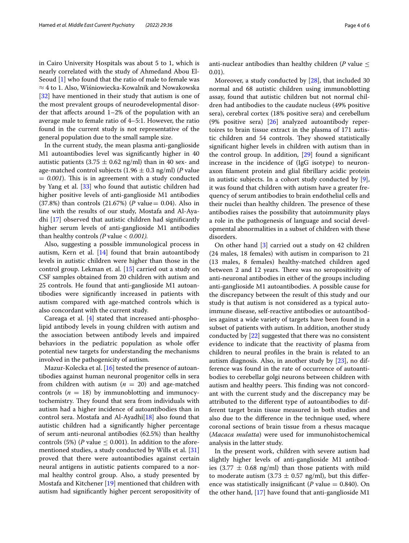in Cairo University Hospitals was about 5 to 1, which is nearly correlated with the study of Ahmedand Abou El-Seoud [[1\]](#page-4-3) who found that the ratio of male to female was ≈ 4 to 1. Also, Wiśniowiecka-Kowalnik and Nowakowska [[32\]](#page-5-17) have mentioned in their study that autism is one of the most prevalent groups of neurodevelopmental disorder that afects around 1–2% of the population with an average male to female ratio of 4–5:1. However, the ratio found in the current study is not representative of the general population due to the small sample size.

In the current study, the mean plasma anti-ganglioside M1 autoantibodies level was signifcantly higher in 40 autistic patients  $(3.75 \pm 0.62 \text{ ng/ml})$  than in 40 sex- and age-matched control subjects (1.96  $\pm$  0.3 ng/ml) (*P* value  $= 0.001$ ). This is in agreement with a study conducted by Yang et al. [\[33](#page-5-8)] who found that autistic children had higher positive levels of anti-ganglioside M1 antibodies (37.8%) than controls (21.67%) (*P* value= 0.04). Also in line with the results of our study, Mostafa and Al-Ayadhi [\[17](#page-5-6)] observed that autistic children had signifcantly higher serum levels of anti-ganglioside M1 antibodies than healthy controls *(P* value *< 0.001).*

Also, suggesting a possible immunological process in autism, Kern et al. [\[14](#page-5-18)] found that brain autoantibody levels in autistic children were higher than those in the control group. Lekman et. al. [[15\]](#page-5-19) carried out a study on CSF samples obtained from 20 children with autism and 25 controls. He found that anti-ganglioside M1 autoantibodies were signifcantly increased in patients with autism compared with age-matched controls which is also concordant with the current study.

Careaga et al.  $[4]$  $[4]$  stated that increased anti-phospholipid antibody levels in young children with autism and the association between antibody levels and impaired behaviors in the pediatric population as whole offer potential new targets for understanding the mechanisms involved in the pathogenicity of autism.

Mazur-Kolecka et al. [\[16\]](#page-5-20) tested the presence of autoantibodies against human neuronal progenitor cells in sera from children with autism ( $n = 20$ ) and age-matched controls  $(n = 18)$  by immunoblotting and immunocytochemistry. They found that sera from individuals with autism had a higher incidence of autoantibodies than in control sera. Mostafa and Al-Ayadhi[[18](#page-5-21)] also found that autistic children had a signifcantly higher percentage of serum anti-neuronal antibodies (62.5%) than healthy controls (5%) (*P* value  $\leq$  0.001). In addition to the aforementioned studies, a study conducted by Wills et al. [[31](#page-5-22)] proved that there were autoantibodies against certain neural antigens in autistic patients compared to a normal healthy control group. Also, a study presented by Mostafa and Kitchener [[19](#page-5-23)] mentioned that children with autism had signifcantly higher percent seropositivity of anti-nuclear antibodies than healthy children ( $P$  value  $\leq$ 0.01).

Moreover, a study conducted by [[28](#page-5-24)], that included 30 normal and 68 autistic children using immunoblotting assay, found that autistic children but not normal children had antibodies to the caudate nucleus (49% positive sera), cerebral cortex (18% positive sera) and cerebellum (9% positive sera) [\[26](#page-5-25)] analyzed autoantibody repertoires to brain tissue extract in the plasma of 171 autistic children and 54 controls. They showed statistically signifcant higher levels in children with autism than in the control group. In addition, [\[29](#page-5-26)] found a signifcant increase in the incidence of (IgG isotype) to neuronaxon flament protein and glial fbrillary acidic protein in autistic subjects. In a cohort study conducted by [\[9](#page-5-27)], it was found that children with autism have a greater frequency of serum antibodies to brain endothelial cells and their nuclei than healthy children. The presence of these antibodies raises the possibility that autoimmunity plays a role in the pathogenesis of language and social developmental abnormalities in a subset of children with these disorders.

On other hand [\[3](#page-4-0)] carried out a study on 42 children (24 males, 18 females) with autism in comparison to 21 (13 males, 8 females) healthy-matched children aged between 2 and 12 years. There was no seropositivity of anti-neuronal antibodies in either of the groups including anti-ganglioside M1 autoantibodies. A possible cause for the discrepancy between the result of this study and our study is that autism is not considered as a typical autoimmune disease, self-reactive antibodies or autoantibodies against a wide variety of targets have been found in a subset of patients with autism. In addition, another study conducted by [[22\]](#page-5-28) suggested that there was no consistent evidence to indicate that the reactivity of plasma from children to neural profles in the brain is related to an autism diagnosis. Also, in another study by [[23](#page-5-9)], no difference was found in the rate of occurrence of autoantibodies to cerebellar golgi neurons between children with autism and healthy peers. This finding was not concordant with the current study and the discrepancy may be attributed to the diferent type of autoantibodies to different target brain tissue measured in both studies and also due to the diference in the technique used, where coronal sections of brain tissue from a rhesus macaque (*Macaca mulatta*) were used for immunohistochemical analysis in the latter study.

In the present work, children with severe autism had slightly higher levels of anti-ganglioside M1 antibodies (3.77  $\pm$  0.68 ng/ml) than those patients with mild to moderate autism  $(3.73 \pm 0.57 \text{ ng/ml})$ , but this difference was statistically insignificant ( $P$  value  $= 0.840$ ). On the other hand, [[17\]](#page-5-6) have found that anti-ganglioside M1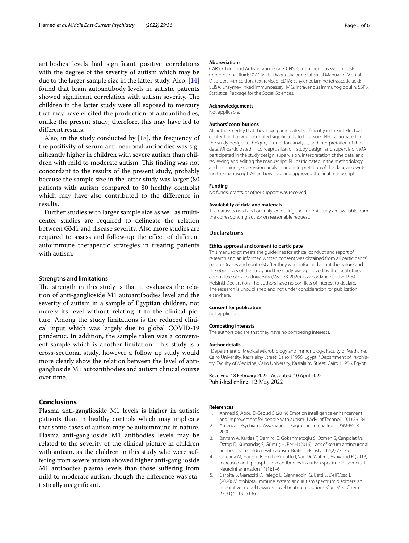antibodies levels had signifcant positive correlations with the degree of the severity of autism which may be due to the larger sample size in the latter study. Also, [[14](#page-5-18)] found that brain autoantibody levels in autistic patients showed significant correlation with autism severity. The children in the latter study were all exposed to mercury that may have elicited the production of autoantibodies, unlike the present study; therefore, this may have led to diferent results.

Also, in the study conducted by  $[18]$  $[18]$ , the frequency of the positivity of serum anti-neuronal antibodies was signifcantly higher in children with severe autism than children with mild to moderate autism. This finding was not concordant to the results of the present study, probably because the sample size in the latter study was larger (80 patients with autism compared to 80 healthy controls) which may have also contributed to the diference in results.

Further studies with larger sample size as well as multicenter studies are required to delineate the relation between GM1 and disease severity. Also more studies are required to assess and follow-up the efect of diferent autoimmune therapeutic strategies in treating patients with autism.

#### **Strengths and limitations**

The strength in this study is that it evaluates the relation of anti-ganglioside M1 autoantibodies level and the severity of autism in a sample of Egyptian children, not merely its level without relating it to the clinical picture. Among the study limitations is the reduced clinical input which was largely due to global COVID-19 pandemic. In addition, the sample taken was a convenient sample which is another limitation. This study is a cross-sectional study, however a follow up study would more clearly show the relation between the level of antiganglioside M1 autoantibodies and autism clinical course over time.

## **Conclusions**

Plasma anti-ganglioside M1 levels is higher in autistic patients than in healthy controls which may implicate that some cases of autism may be autoimmune in nature. Plasma anti-ganglioside M1 antibodies levels may be related to the severity of the clinical picture in children with autism, as the children in this study who were suffering from severe autism showed higher anti-ganglioside M1 antibodies plasma levels than those sufering from mild to moderate autism, though the diference was statistically insignifcant.

#### **Abbreviations**

CARS: Childhood Autism rating scale; CNS: Central nervous system; CSF: Cerebrospinal fuid; DSM IV-TR: Diagnostic and Statistical Manual of Mental Disorders, 4th Edition, text revised; EDTA: Ethylenediamine tetraacetic acid; ELISA: Enzyme–linked immunoassay; IVIG: Intravenous immunoglobulin; SSPS: Statistical Package for the Social Sciences.

#### **Acknowledgements**

Not applicable.

#### **Authors' contributions**

All authors certify that they have participated sufficiently in the intellectual content and have contributed signifcantly to this work. NH participated in the study design, technique, acquisition, analysis, and interpretation of the data. MI participated in conceptualization, study design, and supervision. MA participated in the study design, supervision, interpretation of the data, and reviewing and editing the manuscript. RH participated in the methodology and technique, supervision, analysis and interpretation of the data, and writing the manuscript. All authors read and approved the fnal manuscript.

#### **Funding**

No funds, grants, or other support was received.

#### **Availability of data and materials**

The datasets used and or analyzed during the current study are available from the corresponding author on reasonable request.

#### **Declarations**

#### **Ethics approval and consent to participate**

This manuscript meets the guidelines for ethical conduct and report of research and an informed written consent was obtained from all participants' parents (cases and controls) after they were informed about the nature and the objectives of the study and the study was approved by the local ethics committee of Cairo University (MS-173-2020) in accordance to the 1964 Helsinki Declaration. The authors have no conficts of interest to declare. The research is unpublished and not under consideration for publication elsewhere.

#### **Consent for publication**

Not applicable.

#### **Competing interests**

The authors declare that they have no competing interests.

#### **Author details**

<sup>1</sup> Department of Medical Microbiology and Immunology, Faculty of Medicine, Cairo University, Kasralainy Street, Cairo 11956, Egypt.<sup>2</sup> Department of Psychiatry, Faculty of Medicine, Cairo University, Kasralainy Street, Cairo 11956, Egypt.

Received: 18 February 2022 Accepted: 10 April 2022 Published online: 12 May 2022

## **References**

- <span id="page-4-3"></span>1. Ahmed S, Abou El-Seoud S (2019) Emotion intelligence enhancement and improvement for people with autism. J Adv Inf Technol 10(1):29–34
- <span id="page-4-1"></span>2. American Psychiatric Association. Diagnostic criteria from DSM-IV-TR 2000
- <span id="page-4-0"></span>3. Bayram A, Kardas F, Demirci E, Gökahmetoğlu S, Özmen S, Canpolat M, Oztop D, Kumandaş S, Gümüş H, Per H (2016) Lack of serum antineuronal antibodies in children with autism. Bratisl Lek Listy 117(2):77–79
- <span id="page-4-4"></span>4. Careaga M, Hansen R, Hertz-Piccotto I, Van De Water J, Ashwood P (2013) Increased anti- phospholipid antibodies in autism spectrum disorders. J Neuroinfammation 11(1):1–6
- <span id="page-4-2"></span>5. Carpita B, Marazziti D, Palego L, Giannaccini G, Betti L, Dell'Osso L (2020) Microbiota, immune system and autism spectrum disorders: an integrative model towards novel treatment options. Curr Med Chem 27(31):5119–5136